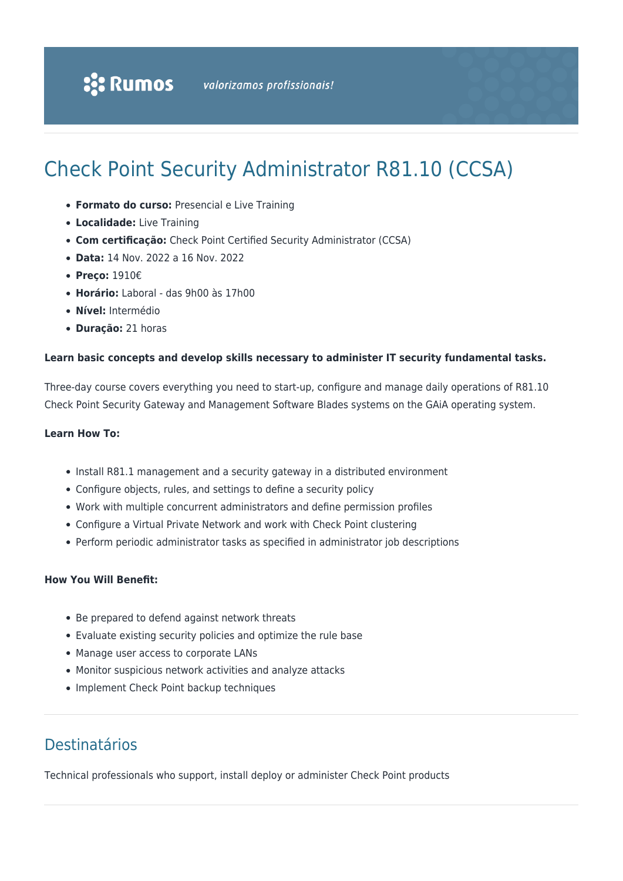# Check Point Security Administrator R81.10 (CCSA)

- **Formato do curso:** Presencial e Live Training
- **Localidade:** Live Training
- **Com certificação:** Check Point Certified Security Administrator (CCSA)
- **Data:** 14 Nov. 2022 a 16 Nov. 2022
- **Preço:** 1910€
- **Horário:** Laboral das 9h00 às 17h00
- **Nível:** Intermédio
- **Duração:** 21 horas

#### **Learn basic concepts and develop skills necessary to administer IT security fundamental tasks.**

Three-day course covers everything you need to start-up, configure and manage daily operations of R81.10 Check Point Security Gateway and Management Software Blades systems on the GAiA operating system.

#### **Learn How To:**

- Install R81.1 management and a security gateway in a distributed environment
- Configure objects, rules, and settings to define a security policy
- Work with multiple concurrent administrators and define permission profiles
- Configure a Virtual Private Network and work with Check Point clustering
- Perform periodic administrator tasks as specified in administrator job descriptions

### **How You Will Benefit:**

- Be prepared to defend against network threats
- Evaluate existing security policies and optimize the rule base
- Manage user access to corporate LANs
- Monitor suspicious network activities and analyze attacks
- Implement Check Point backup techniques

### Destinatários

Technical professionals who support, install deploy or administer Check Point products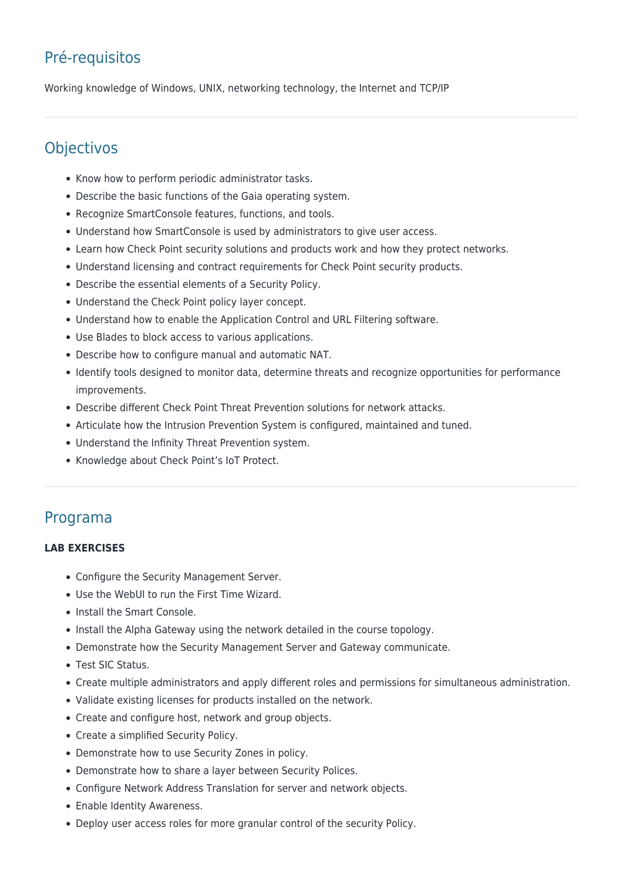## Pré-requisitos

Working knowledge of Windows, UNIX, networking technology, the Internet and TCP/IP

### **Objectivos**

- Know how to perform periodic administrator tasks.
- Describe the basic functions of the Gaia operating system.
- Recognize SmartConsole features, functions, and tools.
- Understand how SmartConsole is used by administrators to give user access.
- Learn how Check Point security solutions and products work and how they protect networks.
- Understand licensing and contract requirements for Check Point security products.
- Describe the essential elements of a Security Policy.
- Understand the Check Point policy layer concept.
- Understand how to enable the Application Control and URL Filtering software.
- Use Blades to block access to various applications.
- Describe how to configure manual and automatic NAT.
- Identify tools designed to monitor data, determine threats and recognize opportunities for performance improvements.
- Describe different Check Point Threat Prevention solutions for network attacks.
- Articulate how the Intrusion Prevention System is configured, maintained and tuned.
- Understand the Infinity Threat Prevention system.
- Knowledge about Check Point's IoT Protect.

### Programa

### **LAB EXERCISES**

- Configure the Security Management Server.
- Use the WebUI to run the First Time Wizard.
- Install the Smart Console.
- Install the Alpha Gateway using the network detailed in the course topology.
- Demonstrate how the Security Management Server and Gateway communicate.
- Test SIC Status.
- Create multiple administrators and apply different roles and permissions for simultaneous administration.
- Validate existing licenses for products installed on the network.
- Create and configure host, network and group objects.
- Create a simplified Security Policy.
- Demonstrate how to use Security Zones in policy.
- Demonstrate how to share a layer between Security Polices.
- Configure Network Address Translation for server and network objects.
- Enable Identity Awareness.
- Deploy user access roles for more granular control of the security Policy.